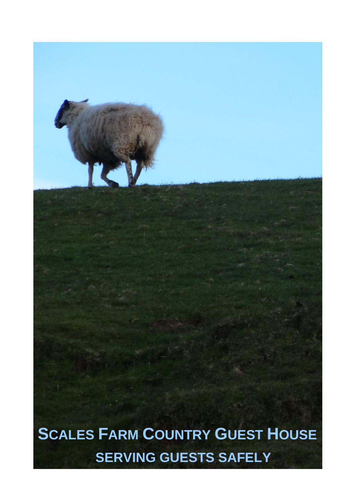**SCALES FARM COUNTRY GUEST HOUSE SERVING GUESTS SAFELY**

IK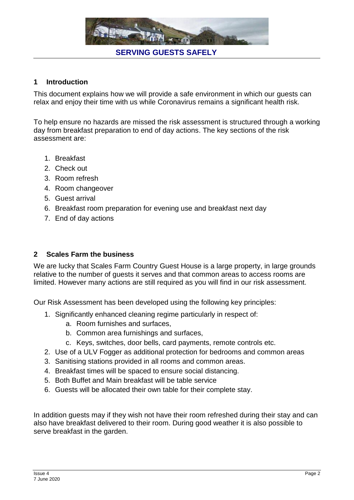

#### **1 Introduction**

This document explains how we will provide a safe environment in which our guests can relax and enjoy their time with us while Coronavirus remains a significant health risk.

To help ensure no hazards are missed the risk assessment is structured through a working day from breakfast preparation to end of day actions. The key sections of the risk assessment are:

- 1. Breakfast
- 2. Check out
- 3. Room refresh
- 4. Room changeover
- 5. Guest arrival
- 6. Breakfast room preparation for evening use and breakfast next day
- 7. End of day actions

#### **2 Scales Farm the business**

We are lucky that Scales Farm Country Guest House is a large property, in large grounds relative to the number of guests it serves and that common areas to access rooms are limited. However many actions are still required as you will find in our risk assessment.

Our Risk Assessment has been developed using the following key principles:

- 1. Significantly enhanced cleaning regime particularly in respect of:
	- a. Room furnishes and surfaces,
	- b. Common area furnishings and surfaces,
	- c. Keys, switches, door bells, card payments, remote controls etc.
- 2. Use of a ULV Fogger as additional protection for bedrooms and common areas
- 3. Sanitising stations provided in all rooms and common areas.
- 4. Breakfast times will be spaced to ensure social distancing.
- 5. Both Buffet and Main breakfast will be table service
- 6. Guests will be allocated their own table for their complete stay.

In addition guests may if they wish not have their room refreshed during their stay and can also have breakfast delivered to their room. During good weather it is also possible to serve breakfast in the garden.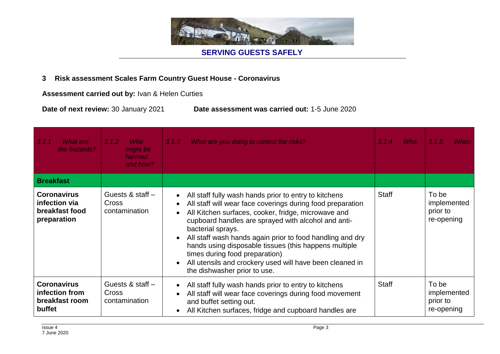

#### **3 Risk assessment Scales Farm Country Guest House - Coronavirus**

**Assessment carried out by:** Ivan & Helen Curties

**Date of next review:** 30 January 2021 **Date assessment was carried out:** 1-5 June 2020

| 3.1.1<br>What are<br>the hazards?                                    | 3.1.2<br><b>Who</b><br>might be<br>harmed<br>and how? | What are you doing to control the risks?<br>3.1.3                                                                                                                                                                                                                                                                                                                                                                                                                                                                                                                           | <b>Who</b><br>3.1.4 | 3.1.5<br>When                                  |
|----------------------------------------------------------------------|-------------------------------------------------------|-----------------------------------------------------------------------------------------------------------------------------------------------------------------------------------------------------------------------------------------------------------------------------------------------------------------------------------------------------------------------------------------------------------------------------------------------------------------------------------------------------------------------------------------------------------------------------|---------------------|------------------------------------------------|
| <b>Breakfast</b>                                                     |                                                       |                                                                                                                                                                                                                                                                                                                                                                                                                                                                                                                                                                             |                     |                                                |
| <b>Coronavirus</b><br>infection via<br>breakfast food<br>preparation | Guests & staff $-$<br><b>Cross</b><br>contamination   | All staff fully wash hands prior to entry to kitchens<br>$\bullet$<br>All staff will wear face coverings during food preparation<br>$\bullet$<br>All Kitchen surfaces, cooker, fridge, microwave and<br>$\bullet$<br>cupboard handles are sprayed with alcohol and anti-<br>bacterial sprays.<br>All staff wash hands again prior to food handling and dry<br>$\bullet$<br>hands using disposable tissues (this happens multiple<br>times during food preparation)<br>All utensils and crockery used will have been cleaned in<br>$\bullet$<br>the dishwasher prior to use. | <b>Staff</b>        | To be<br>implemented<br>prior to<br>re-opening |
| <b>Coronavirus</b><br>infection from<br>breakfast room<br>buffet     | Guests & staff $-$<br><b>Cross</b><br>contamination   | All staff fully wash hands prior to entry to kitchens<br>$\bullet$<br>All staff will wear face coverings during food movement<br>and buffet setting out.<br>All Kitchen surfaces, fridge and cupboard handles are<br>$\bullet$                                                                                                                                                                                                                                                                                                                                              | <b>Staff</b>        | To be<br>implemented<br>prior to<br>re-opening |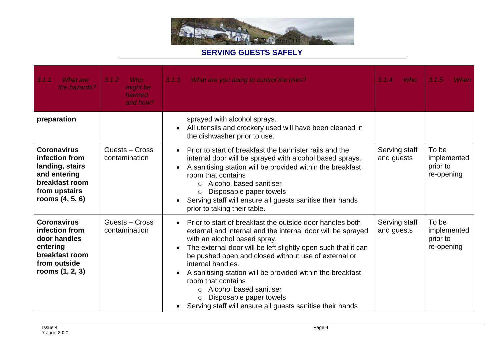

| 3.1.1<br>What are<br>the hazards?                                                                                               | 3.1.2<br><b>Who</b><br>might be<br>harmed<br>and how? | 3.1.3<br>What are you doing to control the risks?                                                                                                                                                                                                                                                                                                                                                                                                                                                                                                                          | <b>Who</b><br>3.1.4         | 3.1.5<br>When                                  |
|---------------------------------------------------------------------------------------------------------------------------------|-------------------------------------------------------|----------------------------------------------------------------------------------------------------------------------------------------------------------------------------------------------------------------------------------------------------------------------------------------------------------------------------------------------------------------------------------------------------------------------------------------------------------------------------------------------------------------------------------------------------------------------------|-----------------------------|------------------------------------------------|
| preparation                                                                                                                     |                                                       | sprayed with alcohol sprays.<br>All utensils and crockery used will have been cleaned in<br>the dishwasher prior to use.                                                                                                                                                                                                                                                                                                                                                                                                                                                   |                             |                                                |
| <b>Coronavirus</b><br>infection from<br>landing, stairs<br>and entering<br>breakfast room<br>from upstairs<br>rooms $(4, 5, 6)$ | Guests - Cross<br>contamination                       | Prior to start of breakfast the bannister rails and the<br>$\bullet$<br>internal door will be sprayed with alcohol based sprays.<br>A sanitising station will be provided within the breakfast<br>room that contains<br>Alcohol based sanitiser<br>$\Omega$<br>Disposable paper towels<br>O<br>Serving staff will ensure all guests sanitise their hands<br>prior to taking their table.                                                                                                                                                                                   | Serving staff<br>and guests | To be<br>implemented<br>prior to<br>re-opening |
| <b>Coronavirus</b><br>infection from<br>door handles<br>entering<br>breakfast room<br>from outside<br>rooms $(1, 2, 3)$         | Guests - Cross<br>contamination                       | Prior to start of breakfast the outside door handles both<br>$\bullet$<br>external and internal and the internal door will be sprayed<br>with an alcohol based spray.<br>The external door will be left slightly open such that it can<br>$\bullet$<br>be pushed open and closed without use of external or<br>internal handles.<br>A sanitising station will be provided within the breakfast<br>$\bullet$<br>room that contains<br>Alcohol based sanitiser<br>$\circ$<br>Disposable paper towels<br>$\circ$<br>Serving staff will ensure all guests sanitise their hands | Serving staff<br>and guests | To be<br>implemented<br>prior to<br>re-opening |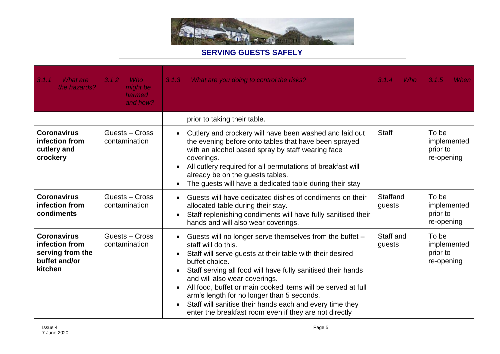

| 3.1.1<br>What are<br>the hazards?                                                    | 3.1.2<br><b>Who</b><br>might be<br>harmed<br>and how? | 3.1.3<br>What are you doing to control the risks?                                                                                                                                                                                                                                                                                                                                                                                                                                                                                                                    | <b>Who</b><br>3.1.4 | 3.1.5<br>When                                  |
|--------------------------------------------------------------------------------------|-------------------------------------------------------|----------------------------------------------------------------------------------------------------------------------------------------------------------------------------------------------------------------------------------------------------------------------------------------------------------------------------------------------------------------------------------------------------------------------------------------------------------------------------------------------------------------------------------------------------------------------|---------------------|------------------------------------------------|
|                                                                                      |                                                       | prior to taking their table.                                                                                                                                                                                                                                                                                                                                                                                                                                                                                                                                         |                     |                                                |
| <b>Coronavirus</b><br>infection from<br>cutlery and<br>crockery                      | Guests - Cross<br>contamination                       | Cutlery and crockery will have been washed and laid out<br>$\bullet$<br>the evening before onto tables that have been sprayed<br>with an alcohol based spray by staff wearing face<br>coverings.<br>All cutlery required for all permutations of breakfast will<br>$\bullet$<br>already be on the guests tables.<br>The guests will have a dedicated table during their stay<br>$\bullet$                                                                                                                                                                            | <b>Staff</b>        | To be<br>implemented<br>prior to<br>re-opening |
| <b>Coronavirus</b><br>infection from<br>condiments                                   | Guests - Cross<br>contamination                       | Guests will have dedicated dishes of condiments on their<br>$\bullet$<br>allocated table during their stay.<br>Staff replenishing condiments will have fully sanitised their<br>$\bullet$<br>hands and will also wear coverings.                                                                                                                                                                                                                                                                                                                                     | Staffand<br>guests  | To be<br>implemented<br>prior to<br>re-opening |
| <b>Coronavirus</b><br>infection from<br>serving from the<br>buffet and/or<br>kitchen | Guests - Cross<br>contamination                       | Guests will no longer serve themselves from the buffet -<br>$\bullet$<br>staff will do this.<br>Staff will serve guests at their table with their desired<br>$\bullet$<br>buffet choice.<br>Staff serving all food will have fully sanitised their hands<br>$\bullet$<br>and will also wear coverings.<br>All food, buffet or main cooked items will be served at full<br>$\bullet$<br>arm's length for no longer than 5 seconds.<br>Staff will sanitise their hands each and every time they<br>$\bullet$<br>enter the breakfast room even if they are not directly | Staff and<br>guests | To be<br>implemented<br>prior to<br>re-opening |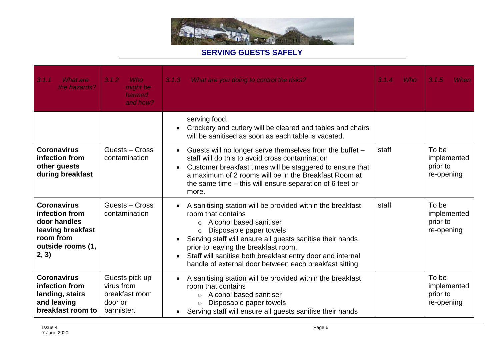

| 3.1.1<br>What are<br>the hazards?                                                                                    | 3.1.2<br><b>Who</b><br>might be<br>harmed<br>and how?                   | 3.1.3<br>What are you doing to control the risks?                                                                                                                                                                                                                                                                                                                                                                      | <b>Who</b><br>3.1.4 | 3.1.5<br>When                                  |
|----------------------------------------------------------------------------------------------------------------------|-------------------------------------------------------------------------|------------------------------------------------------------------------------------------------------------------------------------------------------------------------------------------------------------------------------------------------------------------------------------------------------------------------------------------------------------------------------------------------------------------------|---------------------|------------------------------------------------|
|                                                                                                                      |                                                                         | serving food.<br>Crockery and cutlery will be cleared and tables and chairs<br>will be sanitised as soon as each table is vacated.                                                                                                                                                                                                                                                                                     |                     |                                                |
| <b>Coronavirus</b><br>infection from<br>other guests<br>during breakfast                                             | Guests - Cross<br>contamination                                         | Guests will no longer serve themselves from the buffet -<br>$\bullet$<br>staff will do this to avoid cross contamination<br>Customer breakfast times will be staggered to ensure that<br>a maximum of 2 rooms will be in the Breakfast Room at<br>the same time – this will ensure separation of 6 feet or<br>more.                                                                                                    | staff               | To be<br>implemented<br>prior to<br>re-opening |
| <b>Coronavirus</b><br>infection from<br>door handles<br>leaving breakfast<br>room from<br>outside rooms (1,<br>2, 3) | Guests - Cross<br>contamination                                         | A sanitising station will be provided within the breakfast<br>$\bullet$<br>room that contains<br>Alcohol based sanitiser<br>$\bigcirc$<br>Disposable paper towels<br>$\circ$<br>Serving staff will ensure all guests sanitise their hands<br>prior to leaving the breakfast room.<br>Staff will sanitise both breakfast entry door and internal<br>$\bullet$<br>handle of external door between each breakfast sitting | staff               | To be<br>implemented<br>prior to<br>re-opening |
| <b>Coronavirus</b><br>infection from<br>landing, stairs<br>and leaving<br>breakfast room to                          | Guests pick up<br>virus from<br>breakfast room<br>door or<br>bannister. | A sanitising station will be provided within the breakfast<br>$\bullet$<br>room that contains<br>Alcohol based sanitiser<br>$\circ$<br>Disposable paper towels<br>$\circ$<br>Serving staff will ensure all guests sanitise their hands                                                                                                                                                                                 |                     | To be<br>implemented<br>prior to<br>re-opening |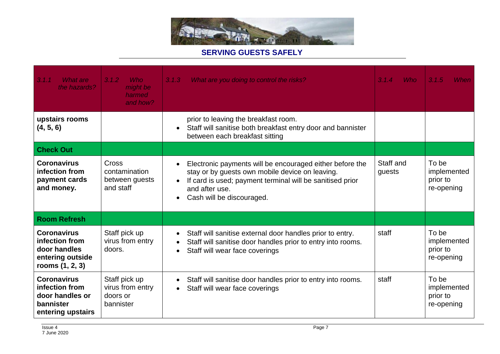

| 3.1.1<br>What are<br>the hazards?                                                           | 3.1.2<br><b>Who</b><br>might be<br>harmed<br>and how?      | 3.1.3<br>What are you doing to control the risks?                                                                                                                                                                                                              | 3.1.4<br><b>Who</b> | 3.1.5<br>When                                  |
|---------------------------------------------------------------------------------------------|------------------------------------------------------------|----------------------------------------------------------------------------------------------------------------------------------------------------------------------------------------------------------------------------------------------------------------|---------------------|------------------------------------------------|
| upstairs rooms<br>(4, 5, 6)                                                                 |                                                            | prior to leaving the breakfast room.<br>Staff will sanitise both breakfast entry door and bannister<br>$\bullet$<br>between each breakfast sitting                                                                                                             |                     |                                                |
| <b>Check Out</b>                                                                            |                                                            |                                                                                                                                                                                                                                                                |                     |                                                |
| <b>Coronavirus</b><br>infection from<br>payment cards<br>and money.                         | Cross<br>contamination<br>between guests<br>and staff      | Electronic payments will be encouraged either before the<br>$\bullet$<br>stay or by guests own mobile device on leaving.<br>If card is used; payment terminal will be sanitised prior<br>$\bullet$<br>and after use.<br>Cash will be discouraged.<br>$\bullet$ | Staff and<br>guests | To be<br>implemented<br>prior to<br>re-opening |
| <b>Room Refresh</b>                                                                         |                                                            |                                                                                                                                                                                                                                                                |                     |                                                |
| <b>Coronavirus</b><br>infection from<br>door handles<br>entering outside<br>rooms (1, 2, 3) | Staff pick up<br>virus from entry<br>doors.                | Staff will sanitise external door handles prior to entry.<br>$\bullet$<br>Staff will sanitise door handles prior to entry into rooms.<br>$\bullet$<br>Staff will wear face coverings<br>$\bullet$                                                              | staff               | To be<br>implemented<br>prior to<br>re-opening |
| <b>Coronavirus</b><br>infection from<br>door handles or<br>bannister<br>entering upstairs   | Staff pick up<br>virus from entry<br>doors or<br>bannister | Staff will sanitise door handles prior to entry into rooms.<br>$\bullet$<br>Staff will wear face coverings<br>$\bullet$                                                                                                                                        | staff               | To be<br>implemented<br>prior to<br>re-opening |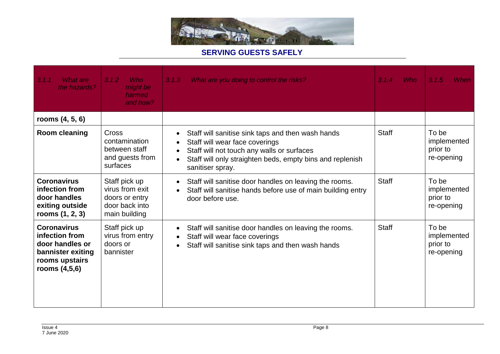

| 3.1.1<br>What are<br>the hazards?                                                                                 | 3.1.2<br><b>Who</b><br>might be<br>harmed<br>and how?                                 | What are you doing to control the risks?<br>3.1.3                                                                                                                                                                                                              | <b>Who</b><br>3.1.4 | 3.1.5<br>When                                  |
|-------------------------------------------------------------------------------------------------------------------|---------------------------------------------------------------------------------------|----------------------------------------------------------------------------------------------------------------------------------------------------------------------------------------------------------------------------------------------------------------|---------------------|------------------------------------------------|
| rooms $(4, 5, 6)$                                                                                                 |                                                                                       |                                                                                                                                                                                                                                                                |                     |                                                |
| Room cleaning                                                                                                     | Cross<br>contamination<br>between staff<br>and guests from<br>surfaces                | Staff will sanitise sink taps and then wash hands<br>$\bullet$<br>Staff will wear face coverings<br>٠<br>Staff will not touch any walls or surfaces<br>$\bullet$<br>Staff will only straighten beds, empty bins and replenish<br>$\bullet$<br>sanitiser spray. | <b>Staff</b>        | To be<br>implemented<br>prior to<br>re-opening |
| <b>Coronavirus</b><br>infection from<br>door handles<br>exiting outside<br>rooms $(1, 2, 3)$                      | Staff pick up<br>virus from exit<br>doors or entry<br>door back into<br>main building | Staff will sanitise door handles on leaving the rooms.<br>$\bullet$<br>Staff will sanitise hands before use of main building entry<br>$\bullet$<br>door before use.                                                                                            | <b>Staff</b>        | To be<br>implemented<br>prior to<br>re-opening |
| <b>Coronavirus</b><br>infection from<br>door handles or<br>bannister exiting<br>rooms upstairs<br>rooms $(4,5,6)$ | Staff pick up<br>virus from entry<br>doors or<br>bannister                            | Staff will sanitise door handles on leaving the rooms.<br>$\bullet$<br>Staff will wear face coverings<br>$\bullet$<br>Staff will sanitise sink taps and then wash hands<br>$\bullet$                                                                           | <b>Staff</b>        | To be<br>implemented<br>prior to<br>re-opening |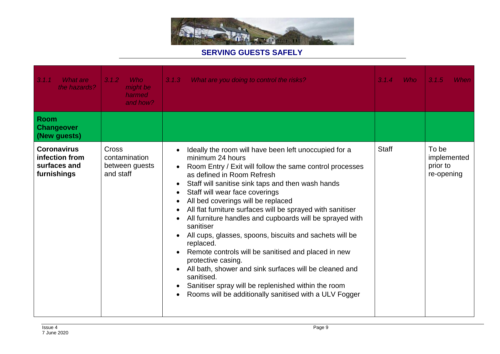

| 3.1.1<br><b>What are</b><br>the hazards?                            | <b>Who</b><br>3.1.2<br>might be<br>harmed<br>and how? | What are you doing to control the risks?<br>3.1.3                                                                                                                                                                                                                                                                                                                                                                                                                                                                                                                                                                                                                                                                                                                                                                                                           | <b>Who</b><br>3.1.4 | 3.1.5<br>When                                  |
|---------------------------------------------------------------------|-------------------------------------------------------|-------------------------------------------------------------------------------------------------------------------------------------------------------------------------------------------------------------------------------------------------------------------------------------------------------------------------------------------------------------------------------------------------------------------------------------------------------------------------------------------------------------------------------------------------------------------------------------------------------------------------------------------------------------------------------------------------------------------------------------------------------------------------------------------------------------------------------------------------------------|---------------------|------------------------------------------------|
| <b>Room</b><br><b>Changeover</b><br>(New guests)                    |                                                       |                                                                                                                                                                                                                                                                                                                                                                                                                                                                                                                                                                                                                                                                                                                                                                                                                                                             |                     |                                                |
| <b>Coronavirus</b><br>infection from<br>surfaces and<br>furnishings | Cross<br>contamination<br>between guests<br>and staff | Ideally the room will have been left unoccupied for a<br>$\bullet$<br>minimum 24 hours<br>Room Entry / Exit will follow the same control processes<br>as defined in Room Refresh<br>Staff will sanitise sink taps and then wash hands<br>٠<br>Staff will wear face coverings<br>$\bullet$<br>All bed coverings will be replaced<br>$\bullet$<br>All flat furniture surfaces will be sprayed with sanitiser<br>All furniture handles and cupboards will be sprayed with<br>$\bullet$<br>sanitiser<br>All cups, glasses, spoons, biscuits and sachets will be<br>$\bullet$<br>replaced.<br>Remote controls will be sanitised and placed in new<br>protective casing.<br>All bath, shower and sink surfaces will be cleaned and<br>sanitised.<br>Sanitiser spray will be replenished within the room<br>Rooms will be additionally sanitised with a ULV Fogger | <b>Staff</b>        | To be<br>implemented<br>prior to<br>re-opening |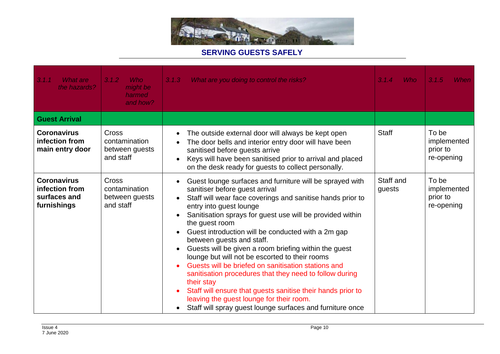

| 3.1.1<br><b>What are</b><br>the hazards?                            | 3.1.2<br><b>Who</b><br>might be<br>harmed<br>and how? | 3.1.3<br>What are you doing to control the risks?                                                                                                                                                                                                                                                                                                                                                                                                                                                                                                                                                                                                                                                                                                                                                                            | <b>Who</b><br>3.1.4 | 3.1.5<br>When                                  |
|---------------------------------------------------------------------|-------------------------------------------------------|------------------------------------------------------------------------------------------------------------------------------------------------------------------------------------------------------------------------------------------------------------------------------------------------------------------------------------------------------------------------------------------------------------------------------------------------------------------------------------------------------------------------------------------------------------------------------------------------------------------------------------------------------------------------------------------------------------------------------------------------------------------------------------------------------------------------------|---------------------|------------------------------------------------|
| <b>Guest Arrival</b>                                                |                                                       |                                                                                                                                                                                                                                                                                                                                                                                                                                                                                                                                                                                                                                                                                                                                                                                                                              |                     |                                                |
| <b>Coronavirus</b><br>infection from<br>main entry door             | Cross<br>contamination<br>between quests<br>and staff | The outside external door will always be kept open<br>$\bullet$<br>The door bells and interior entry door will have been<br>sanitised before guests arrive<br>Keys will have been sanitised prior to arrival and placed<br>on the desk ready for guests to collect personally.                                                                                                                                                                                                                                                                                                                                                                                                                                                                                                                                               | <b>Staff</b>        | To be<br>implemented<br>prior to<br>re-opening |
| <b>Coronavirus</b><br>infection from<br>surfaces and<br>furnishings | Cross<br>contamination<br>between guests<br>and staff | Guest lounge surfaces and furniture will be sprayed with<br>$\bullet$<br>sanitiser before guest arrival<br>Staff will wear face coverings and sanitise hands prior to<br>entry into guest lounge<br>Sanitisation sprays for guest use will be provided within<br>$\bullet$<br>the guest room<br>Guest introduction will be conducted with a 2m gap<br>between guests and staff.<br>Guests will be given a room briefing within the guest<br>$\bullet$<br>lounge but will not be escorted to their rooms<br>Guests will be briefed on sanitisation stations and<br>sanitisation procedures that they need to follow during<br>their stay<br>Staff will ensure that guests sanitise their hands prior to<br>$\bullet$<br>leaving the guest lounge for their room.<br>Staff will spray guest lounge surfaces and furniture once | Staff and<br>guests | To be<br>implemented<br>prior to<br>re-opening |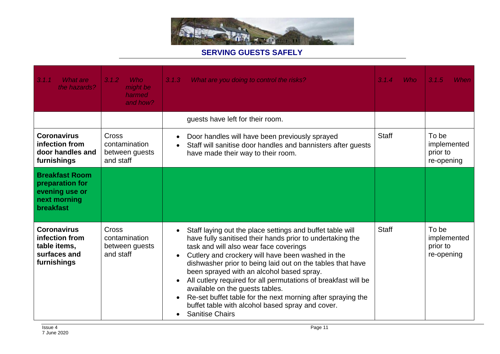

| 3.1.1<br><b>What are</b><br>the hazards?                                                       | <b>Who</b><br>3.1.2<br>might be<br>harmed<br>and how?        | What are you doing to control the risks?<br>3.1.3                                                                                                                                                                                                                                                                                                                                                                                                                                                                                                                                                                                      | 3.1.4<br><b>Who</b> | 3.1.5<br>When                                  |
|------------------------------------------------------------------------------------------------|--------------------------------------------------------------|----------------------------------------------------------------------------------------------------------------------------------------------------------------------------------------------------------------------------------------------------------------------------------------------------------------------------------------------------------------------------------------------------------------------------------------------------------------------------------------------------------------------------------------------------------------------------------------------------------------------------------------|---------------------|------------------------------------------------|
|                                                                                                |                                                              | guests have left for their room.                                                                                                                                                                                                                                                                                                                                                                                                                                                                                                                                                                                                       |                     |                                                |
| <b>Coronavirus</b><br>infection from<br>door handles and<br>furnishings                        | <b>Cross</b><br>contamination<br>between guests<br>and staff | Door handles will have been previously sprayed<br>$\bullet$<br>Staff will sanitise door handles and bannisters after guests<br>$\bullet$<br>have made their way to their room.                                                                                                                                                                                                                                                                                                                                                                                                                                                         | <b>Staff</b>        | To be<br>implemented<br>prior to<br>re-opening |
| <b>Breakfast Room</b><br>preparation for<br>evening use or<br>next morning<br><b>breakfast</b> |                                                              |                                                                                                                                                                                                                                                                                                                                                                                                                                                                                                                                                                                                                                        |                     |                                                |
| <b>Coronavirus</b><br>infection from<br>table items,<br>surfaces and<br>furnishings            | <b>Cross</b><br>contamination<br>between guests<br>and staff | Staff laying out the place settings and buffet table will<br>$\bullet$<br>have fully sanitised their hands prior to undertaking the<br>task and will also wear face coverings<br>Cutlery and crockery will have been washed in the<br>$\bullet$<br>dishwasher prior to being laid out on the tables that have<br>been sprayed with an alcohol based spray.<br>All cutlery required for all permutations of breakfast will be<br>$\bullet$<br>available on the guests tables.<br>Re-set buffet table for the next morning after spraying the<br>buffet table with alcohol based spray and cover.<br><b>Sanitise Chairs</b><br>$\bullet$ | <b>Staff</b>        | To be<br>implemented<br>prior to<br>re-opening |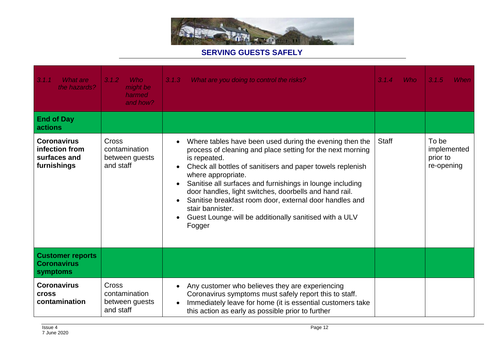

| 3.1.1<br><b>What are</b><br>the hazards?                            | <b>Who</b><br>3.1.2<br>might be<br>harmed<br>and how?        | What are you doing to control the risks?<br>3.1.3                                                                                                                                                                                                                                                                                                                                                                                                                                                                | <b>Who</b><br>3.1.4 | 3.1.5<br>When                                  |
|---------------------------------------------------------------------|--------------------------------------------------------------|------------------------------------------------------------------------------------------------------------------------------------------------------------------------------------------------------------------------------------------------------------------------------------------------------------------------------------------------------------------------------------------------------------------------------------------------------------------------------------------------------------------|---------------------|------------------------------------------------|
| <b>End of Day</b><br>actions                                        |                                                              |                                                                                                                                                                                                                                                                                                                                                                                                                                                                                                                  |                     |                                                |
| <b>Coronavirus</b><br>infection from<br>surfaces and<br>furnishings | <b>Cross</b><br>contamination<br>between guests<br>and staff | Where tables have been used during the evening then the<br>$\bullet$<br>process of cleaning and place setting for the next morning<br>is repeated.<br>Check all bottles of sanitisers and paper towels replenish<br>where appropriate.<br>Sanitise all surfaces and furnishings in lounge including<br>door handles, light switches, doorbells and hand rail.<br>Sanitise breakfast room door, external door handles and<br>stair bannister.<br>Guest Lounge will be additionally sanitised with a ULV<br>Fogger | <b>Staff</b>        | To be<br>implemented<br>prior to<br>re-opening |
| <b>Customer reports</b><br><b>Coronavirus</b><br>symptoms           |                                                              |                                                                                                                                                                                                                                                                                                                                                                                                                                                                                                                  |                     |                                                |
| <b>Coronavirus</b><br><b>Cross</b><br>contamination                 | <b>Cross</b><br>contamination<br>between guests<br>and staff | Any customer who believes they are experiencing<br>$\bullet$<br>Coronavirus symptoms must safely report this to staff.<br>Immediately leave for home (it is essential customers take<br>$\bullet$<br>this action as early as possible prior to further                                                                                                                                                                                                                                                           |                     |                                                |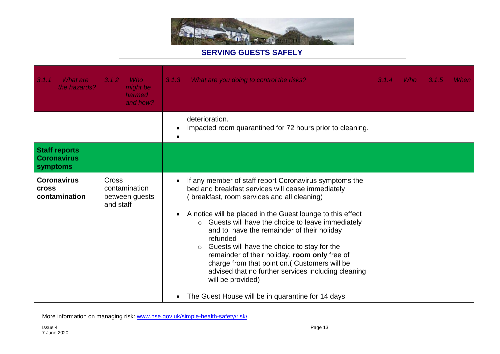

| 3.1.1<br>What are<br>the hazards?                      | 3.1.2<br><b>Who</b><br>might be<br>harmed<br>and how? | What are you doing to control the risks?<br>3.1.3                                                                                                                                                                                                                                                                                                                                                                                                                                                                                                                                                                                                           | 3.1.4 | <b>Who</b> | 3.1.5 | When |
|--------------------------------------------------------|-------------------------------------------------------|-------------------------------------------------------------------------------------------------------------------------------------------------------------------------------------------------------------------------------------------------------------------------------------------------------------------------------------------------------------------------------------------------------------------------------------------------------------------------------------------------------------------------------------------------------------------------------------------------------------------------------------------------------------|-------|------------|-------|------|
|                                                        |                                                       | deterioration.<br>Impacted room quarantined for 72 hours prior to cleaning.                                                                                                                                                                                                                                                                                                                                                                                                                                                                                                                                                                                 |       |            |       |      |
| <b>Staff reports</b><br><b>Coronavirus</b><br>symptoms |                                                       |                                                                                                                                                                                                                                                                                                                                                                                                                                                                                                                                                                                                                                                             |       |            |       |      |
| <b>Coronavirus</b><br><b>Cross</b><br>contamination    | Cross<br>contamination<br>between guests<br>and staff | If any member of staff report Coronavirus symptoms the<br>bed and breakfast services will cease immediately<br>(breakfast, room services and all cleaning)<br>A notice will be placed in the Guest lounge to this effect<br>$\bullet$<br>Guests will have the choice to leave immediately<br>$\circ$<br>and to have the remainder of their holiday<br>refunded<br>Guests will have the choice to stay for the<br>$\circ$<br>remainder of their holiday, room only free of<br>charge from that point on.( Customers will be<br>advised that no further services including cleaning<br>will be provided)<br>The Guest House will be in quarantine for 14 days |       |            |       |      |

More information on managing risk: [www.hse.gov.uk/simple-health-safety/risk/](http://www.hse.gov.uk/simple-health-safety/risk/)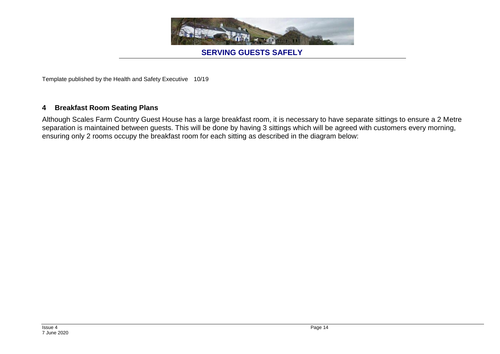

Template published by the Health and Safety Executive 10/19

#### **4 Breakfast Room Seating Plans**

Although Scales Farm Country Guest House has a large breakfast room, it is necessary to have separate sittings to ensure a 2 Metre separation is maintained between guests. This will be done by having 3 sittings which will be agreed with customers every morning, ensuring only 2 rooms occupy the breakfast room for each sitting as described in the diagram below: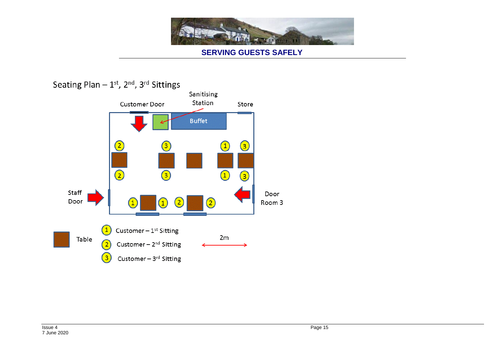

# Seating Plan  $-1$ <sup>st</sup>, 2<sup>nd</sup>, 3<sup>rd</sup> Sittings